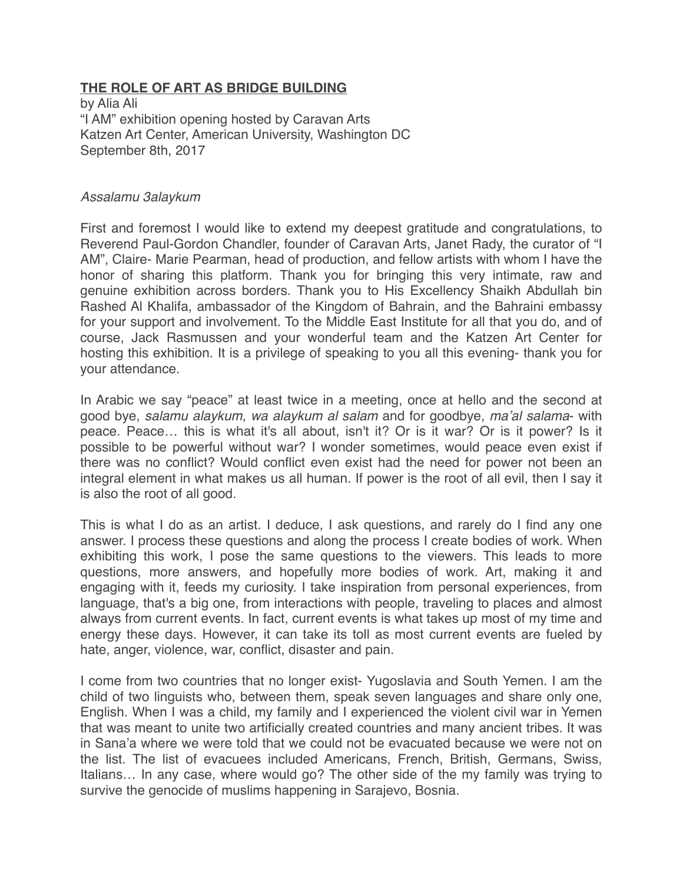## **THE ROLE OF ART AS BRIDGE BUILDING**

by Alia Ali "I AM" exhibition opening hosted by Caravan Arts Katzen Art Center, American University, Washington DC September 8th, 2017

## *Assalamu 3alaykum*

First and foremost I would like to extend my deepest gratitude and congratulations, to Reverend Paul-Gordon Chandler, founder of Caravan Arts, Janet Rady, the curator of "I AM", Claire- Marie Pearman, head of production, and fellow artists with whom I have the honor of sharing this platform. Thank you for bringing this very intimate, raw and genuine exhibition across borders. Thank you to His Excellency Shaikh Abdullah bin Rashed Al Khalifa, ambassador of the Kingdom of Bahrain, and the Bahraini embassy for your support and involvement. To the Middle East Institute for all that you do, and of course, Jack Rasmussen and your wonderful team and the Katzen Art Center for hosting this exhibition. It is a privilege of speaking to you all this evening- thank you for your attendance.

In Arabic we say "peace" at least twice in a meeting, once at hello and the second at good bye, *salamu alaykum, wa alaykum al salam* and for goodbye, *ma'al salama*- with peace. Peace… this is what it's all about, isn't it? Or is it war? Or is it power? Is it possible to be powerful without war? I wonder sometimes, would peace even exist if there was no conflict? Would conflict even exist had the need for power not been an integral element in what makes us all human. If power is the root of all evil, then I say it is also the root of all good.

This is what I do as an artist. I deduce, I ask questions, and rarely do I find any one answer. I process these questions and along the process I create bodies of work. When exhibiting this work, I pose the same questions to the viewers. This leads to more questions, more answers, and hopefully more bodies of work. Art, making it and engaging with it, feeds my curiosity. I take inspiration from personal experiences, from language, that's a big one, from interactions with people, traveling to places and almost always from current events. In fact, current events is what takes up most of my time and energy these days. However, it can take its toll as most current events are fueled by hate, anger, violence, war, conflict, disaster and pain.

I come from two countries that no longer exist- Yugoslavia and South Yemen. I am the child of two linguists who, between them, speak seven languages and share only one, English. When I was a child, my family and I experienced the violent civil war in Yemen that was meant to unite two artificially created countries and many ancient tribes. It was in Sana'a where we were told that we could not be evacuated because we were not on the list. The list of evacuees included Americans, French, British, Germans, Swiss, Italians… In any case, where would go? The other side of the my family was trying to survive the genocide of muslims happening in Sarajevo, Bosnia.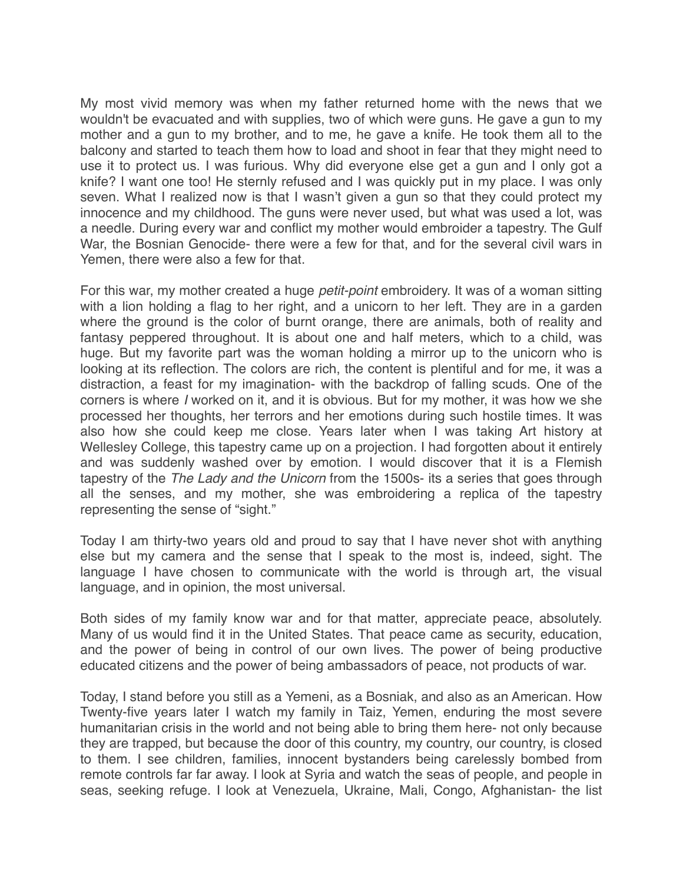My most vivid memory was when my father returned home with the news that we wouldn't be evacuated and with supplies, two of which were guns. He gave a gun to my mother and a gun to my brother, and to me, he gave a knife. He took them all to the balcony and started to teach them how to load and shoot in fear that they might need to use it to protect us. I was furious. Why did everyone else get a gun and I only got a knife? I want one too! He sternly refused and I was quickly put in my place. I was only seven. What I realized now is that I wasn't given a gun so that they could protect my innocence and my childhood. The guns were never used, but what was used a lot, was a needle. During every war and conflict my mother would embroider a tapestry. The Gulf War, the Bosnian Genocide- there were a few for that, and for the several civil wars in Yemen, there were also a few for that.

For this war, my mother created a huge *petit-point* embroidery. It was of a woman sitting with a lion holding a flag to her right, and a unicorn to her left. They are in a garden where the ground is the color of burnt orange, there are animals, both of reality and fantasy peppered throughout. It is about one and half meters, which to a child, was huge. But my favorite part was the woman holding a mirror up to the unicorn who is looking at its reflection. The colors are rich, the content is plentiful and for me, it was a distraction, a feast for my imagination- with the backdrop of falling scuds. One of the corners is where *I* worked on it, and it is obvious. But for my mother, it was how we she processed her thoughts, her terrors and her emotions during such hostile times. It was also how she could keep me close. Years later when I was taking Art history at Wellesley College, this tapestry came up on a projection. I had forgotten about it entirely and was suddenly washed over by emotion. I would discover that it is a Flemish tapestry of the *The Lady and the Unicorn* from the 1500s- its a series that goes through all the senses, and my mother, she was embroidering a replica of the tapestry representing the sense of "sight."

Today I am thirty-two years old and proud to say that I have never shot with anything else but my camera and the sense that I speak to the most is, indeed, sight. The language I have chosen to communicate with the world is through art, the visual language, and in opinion, the most universal.

Both sides of my family know war and for that matter, appreciate peace, absolutely. Many of us would find it in the United States. That peace came as security, education, and the power of being in control of our own lives. The power of being productive educated citizens and the power of being ambassadors of peace, not products of war.

Today, I stand before you still as a Yemeni, as a Bosniak, and also as an American. How Twenty-five years later I watch my family in Taiz, Yemen, enduring the most severe humanitarian crisis in the world and not being able to bring them here- not only because they are trapped, but because the door of this country, my country, our country, is closed to them. I see children, families, innocent bystanders being carelessly bombed from remote controls far far away. I look at Syria and watch the seas of people, and people in seas, seeking refuge. I look at Venezuela, Ukraine, Mali, Congo, Afghanistan- the list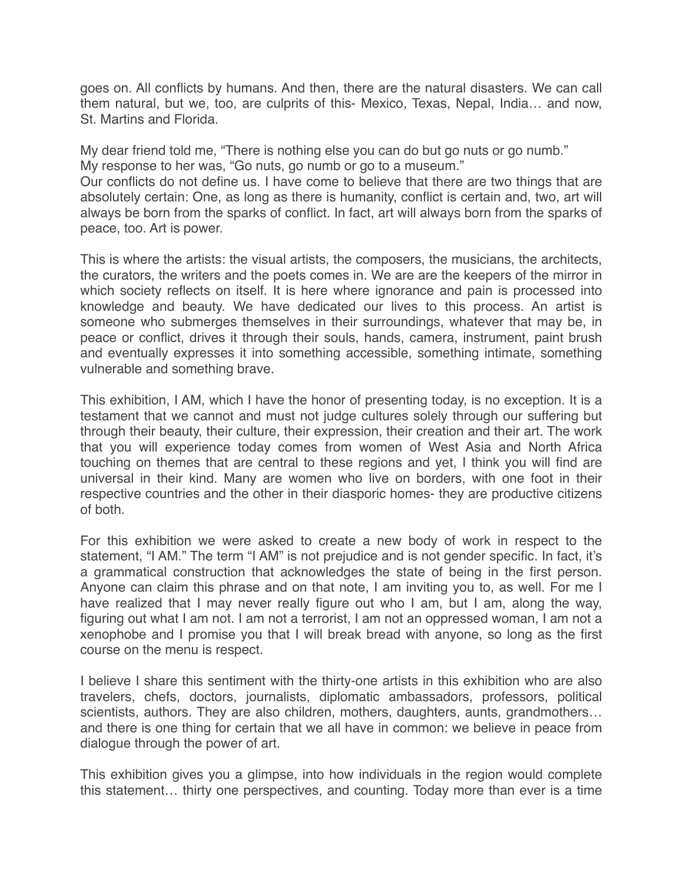goes on. All conflicts by humans. And then, there are the natural disasters. We can call them natural, but we, too, are culprits of this- Mexico, Texas, Nepal, India… and now, St. Martins and Florida.

My dear friend told me, "There is nothing else you can do but go nuts or go numb." My response to her was, "Go nuts, go numb or go to a museum."

Our conflicts do not define us. I have come to believe that there are two things that are absolutely certain: One, as long as there is humanity, conflict is certain and, two, art will always be born from the sparks of conflict. In fact, art will always born from the sparks of peace, too. Art is power.

This is where the artists: the visual artists, the composers, the musicians, the architects, the curators, the writers and the poets comes in. We are are the keepers of the mirror in which society reflects on itself. It is here where ignorance and pain is processed into knowledge and beauty. We have dedicated our lives to this process. An artist is someone who submerges themselves in their surroundings, whatever that may be, in peace or conflict, drives it through their souls, hands, camera, instrument, paint brush and eventually expresses it into something accessible, something intimate, something vulnerable and something brave.

This exhibition, I AM, which I have the honor of presenting today, is no exception. It is a testament that we cannot and must not judge cultures solely through our suffering but through their beauty, their culture, their expression, their creation and their art. The work that you will experience today comes from women of West Asia and North Africa touching on themes that are central to these regions and yet, I think you will find are universal in their kind. Many are women who live on borders, with one foot in their respective countries and the other in their diasporic homes- they are productive citizens of both.

For this exhibition we were asked to create a new body of work in respect to the statement, "I AM." The term "I AM" is not prejudice and is not gender specific. In fact, it's a grammatical construction that acknowledges the state of being in the first person. Anyone can claim this phrase and on that note, I am inviting you to, as well. For me I have realized that I may never really figure out who I am, but I am, along the way, figuring out what I am not. I am not a terrorist, I am not an oppressed woman, I am not a xenophobe and I promise you that I will break bread with anyone, so long as the first course on the menu is respect.

I believe I share this sentiment with the thirty-one artists in this exhibition who are also travelers, chefs, doctors, journalists, diplomatic ambassadors, professors, political scientists, authors. They are also children, mothers, daughters, aunts, grandmothers… and there is one thing for certain that we all have in common: we believe in peace from dialogue through the power of art.

This exhibition gives you a glimpse, into how individuals in the region would complete this statement… thirty one perspectives, and counting. Today more than ever is a time